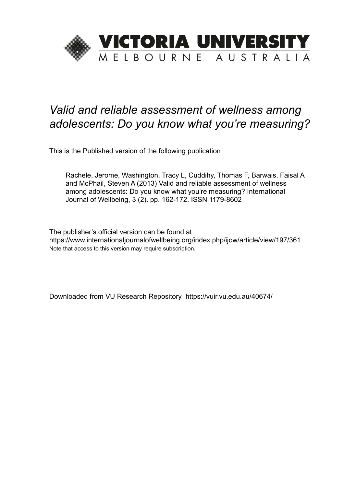

# *Valid and reliable assessment of wellness among adolescents: Do you know what you're measuring?*

This is the Published version of the following publication

Rachele, Jerome, Washington, Tracy L, Cuddihy, Thomas F, Barwais, Faisal A and McPhail, Steven A (2013) Valid and reliable assessment of wellness among adolescents: Do you know what you're measuring? International Journal of Wellbeing, 3 (2). pp. 162-172. ISSN 1179-8602

The publisher's official version can be found at https://www.internationaljournalofwellbeing.org/index.php/ijow/article/view/197/361 Note that access to this version may require subscription.

Downloaded from VU Research Repository https://vuir.vu.edu.au/40674/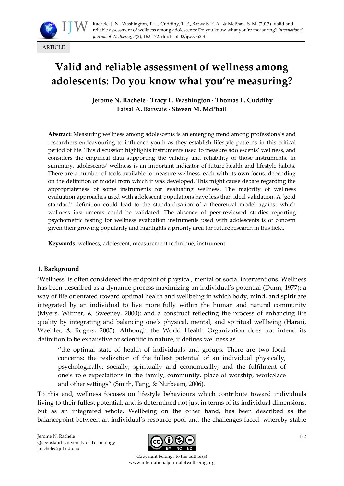

# **Valid and reliable assessment of wellness among adolescents: Do you know what you're measuring?**

**Jerome N. Rachele · Tracy L. Washington · Thomas F. Cuddihy Faisal A. Barwais · Steven M. McPhail**

**Abstract:** Measuring wellness among adolescents is an emerging trend among professionals and researchers endeavouring to influence youth as they establish lifestyle patterns in this critical period of life. This discussion highlights instruments used to measure adolescents' wellness, and considers the empirical data supporting the validity and reliability of those instruments. In summary, adolescents' wellness is an important indicator of future health and lifestyle habits. There are a number of tools available to measure wellness, each with its own focus, depending on the definition or model from which it was developed. This might cause debate regarding the appropriateness of some instruments for evaluating wellness. The majority of wellness evaluation approaches used with adolescent populations have less than ideal validation. A 'gold standard' definition could lead to the standardisation of a theoretical model against which wellness instruments could be validated. The absence of peer-reviewed studies reporting psychometric testing for wellness evaluation instruments used with adolescents is of concern given their growing popularity and highlights a priority area for future research in this field.

**Keywords**: wellness, adolescent, measurement technique, instrument

#### **1. Background**

'Wellness' is often considered the endpoint of physical, mental or social interventions. Wellness has been described as a dynamic process maximizing an individual's potential (Dunn, 1977); a way of life orientated toward optimal health and wellbeing in which body, mind, and spirit are integrated by an individual to live more fully within the human and natural community (Myers, Witmer, & Sweeney, 2000); and a construct reflecting the process of enhancing life quality by integrating and balancing one's physical, mental, and spiritual wellbeing (Harari, Waehler, & Rogers, 2005). Although the World Health Organization does not intend its definition to be exhaustive or scientific in nature, it defines wellness as

'the optimal state of health of individuals and groups. There are two focal concerns: the realization of the fullest potential of an individual physically, psychologically, socially, spiritually and economically, and the fulfilment of one's role expectations in the family, community, place of worship, workplace and other settings' (Smith, Tang, & Nutbeam, 2006).

To this end, wellness focuses on lifestyle behaviours which contribute toward individuals living to their fullest potential, and is determined not just in terms of its individual dimensions, but as an integrated whole. Wellbeing on the other hand, has been described as the balancepoint between an individual's resource pool and the challenges faced, whereby stable

Jerome N. Rachele Queensland University of Technology j.rachele@qut.edu.au



Copyright belongs to the author(s) www.internationaljournalofwellbeing.org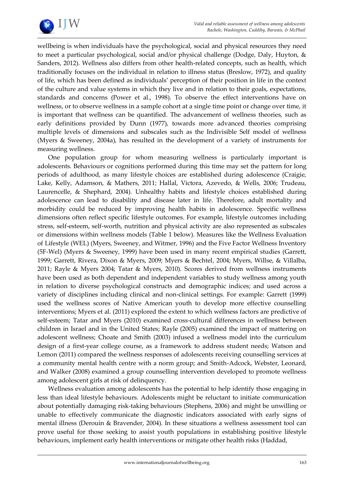

wellbeing is when individuals have the psychological, social and physical resources they need to meet a particular psychological, social and/or physical challenge (Dodge, Daly, Huyton, & Sanders, 2012). Wellness also differs from other health-related concepts, such as health, which traditionally focuses on the individual in relation to illness status (Breslow, 1972), and quality of life, which has been defined as individuals' perception of their position in life in the context of the culture and value systems in which they live and in relation to their goals, expectations, standards and concerns (Power et al., 1998). To observe the effect interventions have on wellness, or to observe wellness in a sample cohort at a single time point or change over time, it is important that wellness can be quantified. The advancement of wellness theories, such as early definitions provided by Dunn (1977), towards more advanced theories comprising multiple levels of dimensions and subscales such as the Indivisible Self model of wellness (Myers & Sweeney, 2004a), has resulted in the development of a variety of instruments for measuring wellness.

One population group for whom measuring wellness is particularly important is adolescents. Behaviours or cognitions performed during this time may set the pattern for long periods of adulthood, as many lifestyle choices are established during adolescence (Craigie, Lake, Kelly, Adamson, & Mathers, 2011; Hallal, Victora, Azevedo, & Wells, 2006; Trudeau, Laurencelle, & Shephard, 2004). Unhealthy habits and lifestyle choices established during adolescence can lead to disability and disease later in life. Therefore, adult mortality and morbidity could be reduced by improving health habits in adolescence. Specific wellness dimensions often reflect specific lifestyle outcomes. For example, lifestyle outcomes including stress, self-esteem, self-worth, nutrition and physical activity are also represented as subscales or dimensions within wellness models (Table 1 below). Measures like the Wellness Evaluation of Lifestyle (WEL) (Myers, Sweeney, and Witmer, 1996) and the Five Factor Wellness Inventory (5F-Wel) (Myers & Sweeney, 1999) have been used in many recent empirical studies (Garrett, 1999; Garrett, Rivera, Dixon & Myers, 2009; Myers & Bechtel, 2004; Myers, Willse, & Villalba, 2011; Rayle & Myers 2004; Tatar & Myers, 2010). Scores derived from wellness instruments have been used as both dependent and independent variables to study wellness among youth in relation to diverse psychological constructs and demographic indices; and used across a variety of disciplines including clinical and non-clinical settings. For example: Garrett (1999) used the wellness scores of Native American youth to develop more effective counselling interventions; Myers et al. (2011) explored the extent to which wellness factors are predictive of self-esteem; Tatar and Myers (2010) examined cross-cultural differences in wellness between children in Israel and in the United States; Rayle (2005) examined the impact of mattering on adolescent wellness; Choate and Smith (2003) infused a wellness model into the curriculum design of a first-year college course, as a framework to address student needs; Watson and Lemon (2011) compared the wellness responses of adolescents receiving counselling services at a community mental health centre with a norm group; and Smith-Adcock, Webster, Leonard, and Walker (2008) examined a group counselling intervention developed to promote wellness among adolescent girls at risk of delinquency.

Wellness evaluation among adolescents has the potential to help identify those engaging in less than ideal lifestyle behaviours. Adolescents might be reluctant to initiate communication about potentially damaging risk-taking behaviours (Stephens, 2006) and might be unwilling or unable to effectively communicate the diagnostic indicators associated with early signs of mental illness (Derouin & Bravender, 2004). In these situations a wellness assessment tool can prove useful for those seeking to assist youth populations in establishing positive lifestyle behaviours, implement early health interventions or mitigate other health risks (Haddad,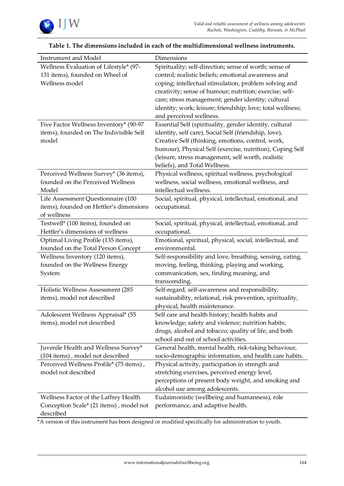

| <b>Instrument and Model</b>             | Dimensions                                                 |
|-----------------------------------------|------------------------------------------------------------|
| Wellness Evaluation of Lifestyle* (97-  | Spirituality; self-direction; sense of worth; sense of     |
| 131 items), founded on Wheel of         | control; realistic beliefs; emotional awareness and        |
| Wellness model                          | coping; intellectual stimulation, problem solving and      |
|                                         | creativity; sense of humour; nutrition; exercise; self-    |
|                                         | care; stress management; gender identity; cultural         |
|                                         | identity; work; leisure; friendship; love; total wellness; |
|                                         | and perceived wellness.                                    |
| Five Factor Wellness Inventory* (90-97  | Essential Self (spirituality, gender identity, cultural    |
| items), founded on The Indivisible Self | identity, self care), Social Self (friendship, love),      |
| model                                   | Creative Self (thinking, emotions, control, work,          |
|                                         | humour), Physical Self (exercise, nutrition), Coping Self  |
|                                         | (leisure, stress management, self worth, realistic         |
|                                         | beliefs), and Total Wellness.                              |
| Perceived Wellness Survey* (36 items),  | Physical wellness, spiritual wellness, psychological       |
| founded on the Perceived Wellness       | wellness, social wellness, emotional wellness, and         |
| Model                                   | intellectual wellness.                                     |
| Life Assessment Questionnaire (100      | Social, spiritual, physical, intellectual, emotional, and  |
| items), founded on Hettler's dimensions | occupational.                                              |
| of wellness                             |                                                            |
| Testwell* (100 items), founded on       | Social, spiritual, physical, intellectual, emotional, and  |
| Hettler's dimensions of wellness        | occupational.                                              |
| Optimal Living Profile (135 items),     | Emotional, spiritual, physical, social, intellectual, and  |
| founded on the Total Person Concept     | environmental.                                             |
| Wellness Inventory (120 items),         | Self-responsibility and love, breathing, sensing, eating,  |
| founded on the Wellness Energy          | moving, feeling, thinking, playing and working,            |
| System                                  | communication, sex, finding meaning, and                   |
|                                         | transcending.                                              |
| Holistic Wellness Assessment (285       | Self-regard, self-awareness and responsibility,            |
| items), model not described             | sustainability, relational, risk prevention, spirituality, |
|                                         | physical, health maintenance.                              |
| Adolescent Wellness Appraisal* (55      | Self care and health history; health habits and            |
| items), model not described             | knowledge; safety and violence; nutrition habits;          |
|                                         | drugs, alcohol and tobacco; quality of life; and both      |
|                                         | school and out of school activities.                       |
| Juvenile Health and Wellness Survey*    | General health, mental health, risk-taking behaviour,      |
| (104 items), model not described        | socio-demographic information, and health care habits.     |
| Perceived Wellness Profile* (75 items), | Physical activity, participation in strength and           |
| model not described                     | stretching exercises, perceived energy level,              |
|                                         | perceptions of present body weight, and smoking and        |
|                                         | alcohol use among adolescents.                             |
| Wellness Factor of the Laffrey Health   | Eudaimonistic (wellbeing and humanness), role              |
| Conception Scale* (21 items), model not | performance, and adaptive health.                          |
| described                               |                                                            |

### **Table 1. The dimensions included in each of the multidimensional wellness instruments.**

\*A version of this instrument has been designed or modified specifically for administration to youth.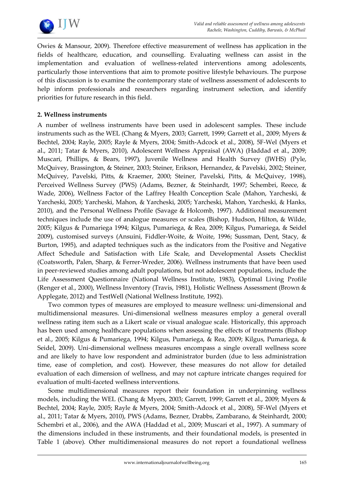

Owies & Mansour, 2009). Therefore effective measurement of wellness has application in the fields of healthcare, education, and counselling. Evaluating wellness can assist in the implementation and evaluation of wellness-related interventions among adolescents, particularly those interventions that aim to promote positive lifestyle behaviours. The purpose of this discussion is to examine the contemporary state of wellness assessment of adolescents to help inform professionals and researchers regarding instrument selection, and identify priorities for future research in this field.

# **2. Wellness instruments**

A number of wellness instruments have been used in adolescent samples. These include instruments such as the WEL (Chang & Myers, 2003; Garrett, 1999; Garrett et al., 2009; Myers & Bechtel, 2004; Rayle, 2005; Rayle & Myers, 2004; Smith-Adcock et al., 2008), 5F-Wel (Myers et al., 2011; Tatar & Myers, 2010), Adolescent Wellness Appraisal (AWA) (Haddad et al., 2009; Muscari, Phillips, & Bears, 1997), Juvenile Wellness and Health Survey (JWHS) (Pyle, McQuivey, Brassington, & Steiner, 2003; Steiner, Erikson, Hernandez, & Pavelski, 2002; Steiner, McQuivey, Pavelski, Pitts, & Kraemer, 2000; Steiner, Pavelski, Pitts, & McQuivey, 1998), Perceived Wellness Survey (PWS) (Adams, Bezner, & Steinhardt, 1997; Schembri, Reece, & Wade, 2006), Wellness Factor of the Laffrey Health Conception Scale (Mahon, Yarcheski, & Yarcheski, 2005; Yarcheski, Mahon, & Yarcheski, 2005; Yarcheski, Mahon, Yarcheski, & Hanks, 2010), and the Personal Wellness Profile (Savage & Holcomb, 1997). Additional measurement techniques include the use of analogue measures or scales (Bishop, Hudson, Hilton, & Wilde, 2005; Kilgus & Pumariega 1994; Kilgus, Pumariega, & Rea, 2009; Kilgus, Pumariega, & Seidel 2009), customised surveys (Ansuini, Fiddler-Woite, & Woite, 1996; Sussman, Dent, Stacy, & Burton, 1995), and adapted techniques such as the indicators from the Positive and Negative Affect Schedule and Satisfaction with Life Scale, and Developmental Assets Checklist (Coatsworth, Palen, Sharp, & Ferrer-Wreder, 2006). Wellness instruments that have been used in peer-reviewed studies among adult populations, but not adolescent populations, include the Life Assessment Questionnaire (National Wellness Institute, 1983), Optimal Living Profile (Renger et al., 2000), Wellness Inventory (Travis, 1981), Holistic Wellness Assessment (Brown & Applegate, 2012) and TestWell (National Wellness Institute, 1992).

Two common types of measures are employed to measure wellness: uni-dimensional and multidimensional measures. Uni-dimensional wellness measures employ a general overall wellness rating item such as a Likert scale or visual analogue scale. Historically, this approach has been used among healthcare populations when assessing the effects of treatments (Bishop et al., 2005; Kilgus & Pumariega, 1994; Kilgus, Pumariega, & Rea, 2009; Kilgus, Pumariega, & Seidel, 2009). Uni-dimensional wellness measures encompass a single overall wellness score and are likely to have low respondent and administrator burden (due to less administration time, ease of completion, and cost). However, these measures do not allow for detailed evaluation of each dimension of wellness, and may not capture intricate changes required for evaluation of multi-faceted wellness interventions.

Some multidimensional measures report their foundation in underpinning wellness models, including the WEL (Chang & Myers, 2003; Garrett, 1999; Garrett et al., 2009; Myers & Bechtel, 2004; Rayle, 2005; Rayle & Myers, 2004; Smith-Adcock et al., 2008), 5F-Wel (Myers et al., 2011; Tatar & Myers, 2010), PWS (Adams, Bezner, Drabbs, Zambarano, & Steinhardt, 2000; Schembri et al., 2006), and the AWA (Haddad et al., 2009; Muscari et al., 1997). A summary of the dimensions included in these instruments, and their foundational models, is presented in Table 1 (above). Other multidimensional measures do not report a foundational wellness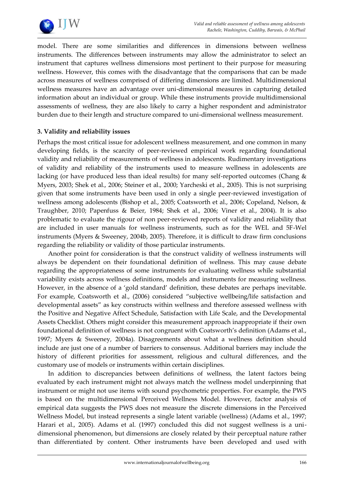

model. There are some similarities and differences in dimensions between wellness instruments. The differences between instruments may allow the administrator to select an instrument that captures wellness dimensions most pertinent to their purpose for measuring wellness. However, this comes with the disadvantage that the comparisons that can be made across measures of wellness comprised of differing dimensions are limited. Multidimensional wellness measures have an advantage over uni-dimensional measures in capturing detailed information about an individual or group. While these instruments provide multidimensional assessments of wellness, they are also likely to carry a higher respondent and administrator burden due to their length and structure compared to uni-dimensional wellness measurement.

# **3. Validity and reliability issues**

Perhaps the most critical issue for adolescent wellness measurement, and one common in many developing fields, is the scarcity of peer-reviewed empirical work regarding foundational validity and reliability of measurements of wellness in adolescents. Rudimentary investigations of validity and reliability of the instruments used to measure wellness in adolescents are lacking (or have produced less than ideal results) for many self-reported outcomes (Chang & Myers, 2003; Shek et al., 2006; Steiner et al., 2000; Yarcheski et al., 2005). This is not surprising given that some instruments have been used in only a single peer-reviewed investigation of wellness among adolescents (Bishop et al., 2005; Coatsworth et al., 2006; Copeland, Nelson, & Traughber, 2010; Papenfuss & Beier, 1984; Shek et al., 2006; Viner et al., 2004). It is also problematic to evaluate the rigour of non peer-reviewed reports of validity and reliability that are included in user manuals for wellness instruments, such as for the WEL and 5F-Wel instruments (Myers & Sweeney, 2004b, 2005). Therefore, it is difficult to draw firm conclusions regarding the reliability or validity of those particular instruments.

Another point for consideration is that the construct validity of wellness instruments will always be dependent on their foundational definition of wellness. This may cause debate regarding the appropriateness of some instruments for evaluating wellness while substantial variability exists across wellness definitions, models and instruments for measuring wellness. However, in the absence of a 'gold standard' definition, these debates are perhaps inevitable. For example, Coatsworth et al., (2006) considered 'subjective wellbeing/life satisfaction and developmental assets' as key constructs within wellness and therefore assessed wellness with the Positive and Negative Affect Schedule, Satisfaction with Life Scale, and the Developmental Assets Checklist. Others might consider this measurement approach inappropriate if their own foundational definition of wellness is not congruent with Coatsworth's definition (Adams et al., 1997; Myers & Sweeney, 2004a). Disagreements about what a wellness definition should include are just one of a number of barriers to consensus. Additional barriers may include the history of different priorities for assessment, religious and cultural differences, and the customary use of models or instruments within certain disciplines.

In addition to discrepancies between definitions of wellness, the latent factors being evaluated by each instrument might not always match the wellness model underpinning that instrument or might not use items with sound psychometric properties. For example, the PWS is based on the multidimensional Perceived Wellness Model. However, factor analysis of empirical data suggests the PWS does not measure the discrete dimensions in the Perceived Wellness Model, but instead represents a single latent variable (wellness) (Adams et al., 1997; Harari et al., 2005). Adams et al. (1997) concluded this did not suggest wellness is a unidimensional phenomenon, but dimensions are closely related by their perceptual nature rather than differentiated by content. Other instruments have been developed and used with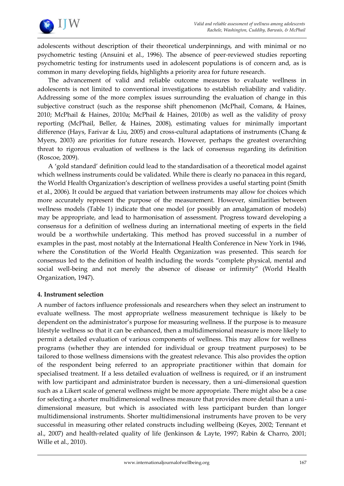

adolescents without description of their theoretical underpinnings, and with minimal or no psychometric testing (Ansuini et al., 1996). The absence of peer-reviewed studies reporting psychometric testing for instruments used in adolescent populations is of concern and, as is common in many developing fields, highlights a priority area for future research.

The advancement of valid and reliable outcome measures to evaluate wellness in adolescents is not limited to conventional investigations to establish reliability and validity. Addressing some of the more complex issues surrounding the evaluation of change in this subjective construct (such as the response shift phenomenon (McPhail, Comans, & Haines, 2010; McPhail & Haines, 2010a; McPhail & Haines, 2010b) as well as the validity of proxy reporting (McPhail, Beller, & Haines, 2008), estimating values for minimally important difference (Hays, Farivar & Liu, 2005) and cross-cultural adaptations of instruments (Chang & Myers, 2003) are priorities for future research. However, perhaps the greatest overarching threat to rigorous evaluation of wellness is the lack of consensus regarding its definition (Roscoe, 2009).

A 'gold standard' definition could lead to the standardisation of a theoretical model against which wellness instruments could be validated. While there is clearly no panacea in this regard, the World Health Organization's description of wellness provides a useful starting point (Smith et al., 2006). It could be argued that variation between instruments may allow for choices which more accurately represent the purpose of the measurement. However, similarities between wellness models (Table 1) indicate that one model (or possibly an amalgamation of models) may be appropriate, and lead to harmonisation of assessment. Progress toward developing a consensus for a definition of wellness during an international meeting of experts in the field would be a worthwhile undertaking. This method has proved successful in a number of examples in the past, most notably at the International Health Conference in New York in 1946, where the Constitution of the World Health Organization was presented. This search for consensus led to the definition of health including the words 'complete physical, mental and social well-being and not merely the absence of disease or infirmity' (World Health Organization, 1947).

#### **4. Instrument selection**

A number of factors influence professionals and researchers when they select an instrument to evaluate wellness. The most appropriate wellness measurement technique is likely to be dependent on the administrator's purpose for measuring wellness. If the purpose is to measure lifestyle wellness so that it can be enhanced, then a multidimensional measure is more likely to permit a detailed evaluation of various components of wellness. This may allow for wellness programs (whether they are intended for individual or group treatment purposes) to be tailored to those wellness dimensions with the greatest relevance. This also provides the option of the respondent being referred to an appropriate practitioner within that domain for specialised treatment. If a less detailed evaluation of wellness is required, or if an instrument with low participant and administrator burden is necessary, then a uni-dimensional question such as a Likert scale of general wellness might be more appropriate. There might also be a case for selecting a shorter multidimensional wellness measure that provides more detail than a unidimensional measure, but which is associated with less participant burden than longer multidimensional instruments. Shorter multidimensional instruments have proven to be very successful in measuring other related constructs including wellbeing (Keyes, 2002; Tennant et al., 2007) and health-related quality of life (Jenkinson & Layte, 1997; Rabin & Charro, 2001; Wille et al., 2010).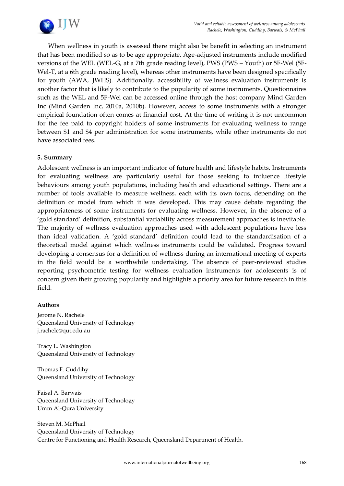

When wellness in youth is assessed there might also be benefit in selecting an instrument that has been modified so as to be age appropriate. Age-adjusted instruments include modified versions of the WEL (WEL-G, at a 7th grade reading level), PWS (PWS – Youth) or 5F-Wel (5F-Wel-T, at a 6th grade reading level), whereas other instruments have been designed specifically for youth (AWA, JWHS). Additionally, accessibility of wellness evaluation instruments is another factor that is likely to contribute to the popularity of some instruments. Questionnaires such as the WEL and 5F-Wel can be accessed online through the host company Mind Garden Inc (Mind Garden Inc, 2010a, 2010b). However, access to some instruments with a stronger empirical foundation often comes at financial cost. At the time of writing it is not uncommon for the fee paid to copyright holders of some instruments for evaluating wellness to range between \$1 and \$4 per administration for some instruments, while other instruments do not have associated fees.

# **5. Summary**

Adolescent wellness is an important indicator of future health and lifestyle habits. Instruments for evaluating wellness are particularly useful for those seeking to influence lifestyle behaviours among youth populations, including health and educational settings. There are a number of tools available to measure wellness, each with its own focus, depending on the definition or model from which it was developed. This may cause debate regarding the appropriateness of some instruments for evaluating wellness. However, in the absence of a 'gold standard' definition, substantial variability across measurement approaches is inevitable. The majority of wellness evaluation approaches used with adolescent populations have less than ideal validation. A 'gold standard' definition could lead to the standardisation of a theoretical model against which wellness instruments could be validated. Progress toward developing a consensus for a definition of wellness during an international meeting of experts in the field would be a worthwhile undertaking. The absence of peer-reviewed studies reporting psychometric testing for wellness evaluation instruments for adolescents is of concern given their growing popularity and highlights a priority area for future research in this field.

#### **Authors**

Jerome N. Rachele Queensland University of Technology j.rachele@qut.edu.au

Tracy L. Washington Queensland University of Technology

Thomas F. Cuddihy Queensland University of Technology

Faisal A. Barwais Queensland University of Technology Umm Al-Qura University

Steven M. McPhail Queensland University of Technology Centre for Functioning and Health Research, Queensland Department of Health.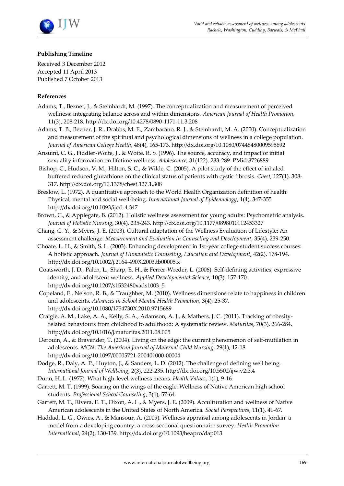

#### **Publishing Timeline**

Received 3 December 2012 Accepted 11 April 2013 Published 7 October 2013

#### **References**

- Adams, T., Bezner, J., & Steinhardt, M. (1997). The conceptualization and measurement of perceived wellness: integrating balance across and within dimensions. *American Journal of Health Promotion*, 11(3), 208-218.<http://dx.doi.org/10.4278/0890-1171-11.3.208>
- Adams, T. B., Bezner, J. R., Drabbs, M. E., Zambarano, R. J., & Steinhardt, M. A. (2000). Conceptualization and measurement of the spiritual and psychological dimensions of wellness in a college population. *Journal of American College Health*, 48(4), 165-173[. http://dx.doi.org/10.1080/07448480009595692](http://dx.doi.org/10.1080/07448480009595692)
- Ansuini, C. G., Fiddler-Woite, J., & Woite, R. S. (1996). The source, accuracy, and impact of initial sexuality information on lifetime wellness. *Adolescence*, 31(122), 283-289. PMid:8726889
- Bishop, C., Hudson, V. M., Hilton, S. C., & Wilde, C. (2005). A pilot study of the effect of inhaled buffered reduced glutathione on the clinical status of patients with cystic fibrosis. *Chest*, 127(1), 308- 317.<http://dx.doi.org/10.1378/chest.127.1.308>
- Breslow, L. (1972). A quantitative approach to the World Health Organization definition of health: Physical, mental and social well-being. *International Journal of Epidemiology*, 1(4), 347-355 <http://dx.doi.org/10.1093/ije/1.4.347>
- Brown, C., & Applegate, B. (2012). Holistic wellness assessment for young adults: Psychometric analysis. *Journal of Holistic Nursing*, 30(4), 235-243[. http://dx.doi.org/10.1177/0898010112453327](http://dx.doi.org/10.1177/0898010112453327)
- Chang, C. Y., & Myers, J. E. (2003). Cultural adaptation of the Wellness Evaluation of Lifestyle: An assessment challenge. *Measurement and Evaluation in Counseling and Development*, 35(4), 239-250.
- Choate, L. H., & Smith, S. L. (2003). Enhancing development in 1st-year college student success courses: A holistic approach. *Journal of Humanistic Counseling, Education and Development*, 42(2), 178-194. <http://dx.doi.org/10.1002/j.2164-490X.2003.tb00005.x>
- Coatsworth, J. D., Palen, L., Sharp, E. H., & Ferrer-Wreder, L. (2006). Self-defining activities, expressive identity, and adolescent wellness. *Applied Developmental Science*, 10(3), 157-170. [http://dx.doi.org/10.1207/s1532480xads1003\\_5](http://dx.doi.org/10.1207/s1532480xads1003_5)
- Copeland, E., Nelson, R. B., & Traughber, M. (2010). Wellness dimensions relate to happiness in children and adolescents. *Advances in School Mental Health Promotion*, 3(4), 25-37. <http://dx.doi.org/10.1080/1754730X.2010.9715689>
- Craigie, A. M., Lake, A. A., Kelly, S. A., Adamson, A. J., & Mathers, J. C. (2011). Tracking of obesityrelated behaviours from childhood to adulthood: A systematic review. *Maturitas*, 70(3), 266-284. <http://dx.doi.org/10.1016/j.maturitas.2011.08.005>
- Derouin, A., & Bravender, T. (2004). Living on the edge: the current phenomenon of self-mutilation in adolescents. *MCN: The American Journal of Maternal Child Nursing*, 29(1), 12-18. <http://dx.doi.org/10.1097/00005721-200401000-00004>
- Dodge, R., Daly, A. P., Huyton, J., & Sanders, L. D. (2012). The challenge of defining well being. *International Journal of Wellbeing*, 2(3), 222-235.<http://dx.doi.org/10.5502/ijw.v2i3.4>
- Dunn, H. L. (1977). What high-level wellness means. *Health Values*, 1(1), 9-16.
- Garrett, M. T. (1999). Soaring on the wings of the eagle: Wellness of Native American high school students. *Professional School Counseling*, 3(1), 57-64.
- Garrett, M. T., Rivera, E. T., Dixon, A. L., & Myers, J. E. (2009). Acculturation and wellness of Native American adolescents in the United States of North America. *Social Perspectives*, 11(1), 41-67.
- Haddad, L. G., Owies, A., & Mansour, A. (2009). Wellness appraisal among adolescents in Jordan: a model from a developing country: a cross-sectional questionnaire survey. *Health Promotion International*, 24(2), 130-139[. http://dx.doi.org/10.1093/heapro/dap013](http://dx.doi.org/10.1093/heapro/dap013)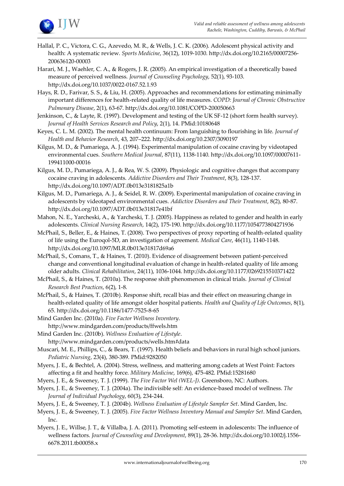

Hallal, P. C., Victora, C. G., Azevedo, M. R., & Wells, J. C. K. (2006). Adolescent physical activity and health: A systematic review. *Sports Medicine*, 36(12), 1019-1030[. http://dx.doi.org/10.2165/00007256-](http://dx.doi.org/10.2165/00007256-200636120-00003) [200636120-00003](http://dx.doi.org/10.2165/00007256-200636120-00003)

Harari, M. J., Waehler, C. A., & Rogers, J. R. (2005). An empirical investigation of a theoretically based measure of perceived wellness. *Journal of Counseling Psychology*, 52(1), 93-103. <http://dx.doi.org/10.1037/0022-0167.52.1.93>

Hays, R. D., Farivar, S. S., & Liu, H. (2005). Approaches and recommendations for estimating minimally important differences for health-related quality of life measures. *COPD: Journal of Chronic Obstructive Pulmonary Disease*, 2(1), 63-67.<http://dx.doi.org/10.1081/COPD-200050663>

Jenkinson, C., & Layte, R. (1997). Development and testing of the UK SF-12 (short form health survey). *Journal of Health Services Research and Policy*, 2(1), 14. PMid:10180648

Keyes, C. L. M. (2002). The mental health continuum: From languishing to flourishing in life. *Journal of Health and Behavior Research*, 43, 207–222[. http://dx.doi.org/10.2307/3090197](http://dx.doi.org/10.2307/3090197)

Kilgus, M. D., & Pumariega, A. J. (1994). Experimental manipulation of cocaine craving by videotaped environmental cues. *Southern Medical Journal*, 87(11), 1138-1140. [http://dx.doi.org/10.1097/00007611-](http://dx.doi.org/10.1097/00007611-199411000-00016) [199411000-00016](http://dx.doi.org/10.1097/00007611-199411000-00016)

Kilgus, M. D., Pumariega, A. J., & Rea, W. S. (2009). Physiologic and cognitive changes that accompany cocaine craving in adolescents. *Addictive Disorders and Their Treatment*, 8(3), 128-137. <http://dx.doi.org/10.1097/ADT.0b013e3181825a1b>

Kilgus, M. D., Pumariega, A. J., & Seidel, R. W. (2009). Experimental manipulation of cocaine craving in adolescents by videotaped environmental cues. *Addictive Disorders and Their Treatment*, 8(2), 80-87. <http://dx.doi.org/10.1097/ADT.0b013e31817e41bf>

Mahon, N. E., Yarcheski, A., & Yarcheski, T. J. (2005). Happiness as related to gender and health in early adolescents. *Clinical Nursing Research*, 14(2), 175-190[. http://dx.doi.org/10.1177/1054773804271936](http://dx.doi.org/10.1177/1054773804271936)

McPhail, S., Beller, E., & Haines, T. (2008). Two perspectives of proxy reporting of health-related quality of life using the Euroqol-5D, an investigation of agreement. *Medical Care*, 46(11), 1140-1148. <http://dx.doi.org/10.1097/MLR.0b013e31817d69a6>

McPhail, S., Comans, T., & Haines, T. (2010). Evidence of disagreement between patient-perceived change and conventional longitudinal evaluation of change in health-related quality of life among older adults. *Clinical Rehabilitation*, 24(11), 1036-1044[. http://dx.doi.org/10.1177/0269215510371422](http://dx.doi.org/10.1177/0269215510371422)

McPhail, S., & Haines, T. (2010a). The response shift phenomenon in clinical trials. *Journal of Clinical Research Best Practices*, 6(2), 1-8.

McPhail, S., & Haines, T. (2010b). Response shift, recall bias and their effect on measuring change in health-related quality of life amongst older hospital patients. *Health and Quality of Life Outcomes*, 8(1), 65.<http://dx.doi.org/10.1186/1477-7525-8-65>

Mind Garden Inc. (2010a). *Five Factor Wellness Inventory*. <http://www.mindgarden.com/products/ffwels.htm>

Mind Garden Inc. (2010b). *Wellness Evaluation of Lifestyle*. <http://www.mindgarden.com/products/wells.htm#data>

Muscari, M. E., Phillips, C., & Bears, T. (1997). Health beliefs and behaviors in rural high school juniors. *Pediatric Nursing*, 23(4), 380-389. PMid:9282050

Myers, J. E., & Bechtel, A. (2004). Stress, wellness, and mattering among cadets at West Point: Factors affecting a fit and healthy force. *Military Medicine*, 169(6), 475-482. PMid:15281680

Myers, J. E., & Sweeney, T. J. (1999). *The Five Factor Wel (WEL-J)*. Greensboro, NC: Authors.

Myers, J. E., & Sweeney, T. J. (2004a). The indivisible self: An evidence-based model of wellness. *The Journal of Individual Psychology*, 60(3), 234-244.

Myers, J. E., & Sweeney, T. J. (2004b). *Wellness Evaluation of Lifestyle Sampler Set*. Mind Garden, Inc.

Myers, J. E., & Sweeney, T. J. (2005). *Five Factor Wellness Inventory Manual and Sampler Set*. Mind Garden, Inc.

Myers, J. E., Willse, J. T., & Villalba, J. A. (2011). Promoting self-esteem in adolescents: The influence of wellness factors. *Journal of Counseling and Development*, 89(1), 28-36[. http://dx.doi.org/10.1002/j.1556-](http://dx.doi.org/10.1002/j.1556-6678.2011.tb00058.x) [6678.2011.tb00058.x](http://dx.doi.org/10.1002/j.1556-6678.2011.tb00058.x)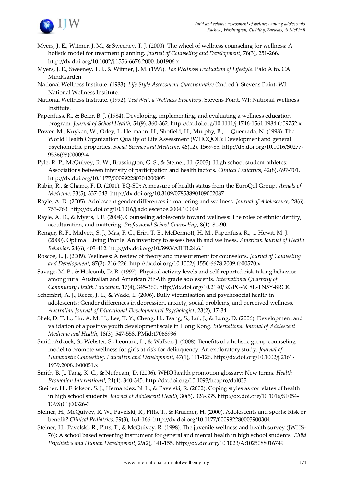

- Myers, J. E., Witmer, J. M., & Sweeney, T. J. (2000). The wheel of wellness counseling for wellness: A holistic model for treatment planning. *Journal of Counseling and Development*, 78(3), 251-266. <http://dx.doi.org/10.1002/j.1556-6676.2000.tb01906.x>
- Myers, J. E., Sweeney, T. J., & Witmer, J. M. (1996). *The Wellness Evaluation of Lifestyle*. Palo Alto, CA: MindGarden.
- National Wellness Institute. (1983). *Life Style Assessment Questionnaire* (2nd ed.). Stevens Point, WI: National Wellness Institute.
- National Wellness Institute. (1992). *TestWell, a Wellness Inventory*. Stevens Point, WI: National Wellness Institute.
- Papenfuss, R., & Beier, B. J. (1984). Developing, implementing, and evaluating a wellness education program. *Journal of School Health*, 54(9), 360-362[. http://dx.doi.org/10.1111/j.1746-1561.1984.tb09752.x](http://dx.doi.org/10.1111/j.1746-1561.1984.tb09752.x)
- Power, M., Kuyken, W., Orley, J., Hermann, H., Shofield, H., Murphy, B., ... Quemada, N. (1998). The World Health Organization Quality of Life Assessment (WHOQOL): Development and general psychometric properties. *Social Science and Medicine*, 46(12), 1569-85[. http://dx.doi.org/10.1016/S0277-](http://dx.doi.org/10.1016/S0277-9536(98)00009-4) [9536\(98\)00009-4](http://dx.doi.org/10.1016/S0277-9536(98)00009-4)
- Pyle, R. P., McQuivey, R. W., Brassington, G. S., & Steiner, H. (2003). High school student athletes: Associations between intensity of participation and health factors. *Clinical Pediatrics*, 42(8), 697-701. <http://dx.doi.org/10.1177/000992280304200805>
- Rabin, R., & Charro, F. D. (2001). EQ-SD: A measure of health status from the EuroQol Group. *Annals of Medicine*, 33(5), 337-343[. http://dx.doi.org/10.3109/07853890109002087](http://dx.doi.org/10.3109/07853890109002087)
- Rayle, A. D. (2005). Adolescent gender differences in mattering and wellness. *Journal of Adolescence*, 28(6), 753-763[. http://dx.doi.org/10.1016/j.adolescence.2004.10.009](http://dx.doi.org/10.1016/j.adolescence.2004.10.009)
- Rayle, A. D., & Myers, J. E. (2004). Counseling adolescents toward wellness: The roles of ethnic identity, acculturation, and mattering. *Professional School Counseling*, 8(1), 81-90.
- Renger, R. F., Midyett, S. J., Mas, F. G., Erin, T. E., McDermott, H. M., Papenfuss, R., ... Hewit, M. J. (2000). Optimal Living Profile: An inventory to assess health and wellness. *American Journal of Health Behavior*, 24(6), 403-412.<http://dx.doi.org/10.5993/AJHB.24.6.1>
- Roscoe, L. J. (2009). Wellness: A review of theory and measurement for counselors. *Journal of Counseling and Development*, 87(2), 216-226.<http://dx.doi.org/10.1002/j.1556-6678.2009.tb00570.x>
- Savage, M. P., & Holcomb, D. R. (1997). Physical activity levels and self-reported risk-taking behavior among rural Australian and American 7th-9th grade adolescents. *International Quarterly of Community Health Education*, 17(4), 345-360[. http://dx.doi.org/10.2190/KGPG-6C8E-TN5Y-8RCK](http://dx.doi.org/10.2190/KGPG-6C8E-TN5Y-8RCK)
- Schembri, A. J., Reece, J. E., & Wade, E. (2006). Bully victimisation and psychosocial health in adolescents: Gender differences in depression, anxiety, social problems, and perceived wellness. *Australian Journal of Educational Developmental Psychologist*, 23(2), 17-34.
- Shek, D. T. L., Siu, A. M. H., Lee, T. Y., Cheng, H., Tsang, S., Lui, J., & Lung, D. (2006). Development and validation of a positive youth development scale in Hong Kong. *International Journal of Adolescent Medicine and Health*, 18(3), 547-558. PMid:17068936
- Smith-Adcock, S., Webster, S., Leonard, L., & Walker, J. (2008). Benefits of a holistic group counseling model to promote wellness for girls at risk for delinquency: An exploratory study. *Journal of Humanistic Counseling, Education and Development*, 47(1), 111-126[. http://dx.doi.org/10.1002/j.2161-](http://dx.doi.org/10.1002/j.2161-1939.2008.tb00051.x) [1939.2008.tb00051.x](http://dx.doi.org/10.1002/j.2161-1939.2008.tb00051.x)
- Smith, B. J., Tang, K. C., & Nutbeam, D. (2006). WHO health promotion glossary: New terms. *Health Promotion International*, 21(4), 340-345.<http://dx.doi.org/10.1093/heapro/dal033>
- Steiner, H., Erickson, S. J., Hernandez, N. L., & Pavelski, R. (2002). Coping styles as correlates of health in high school students. *Journal of Adolescent Health*, 30(5), 326-335[. http://dx.doi.org/10.1016/S1054-](http://dx.doi.org/10.1016/S1054-139X(01)00326-3) [139X\(01\)00326-3](http://dx.doi.org/10.1016/S1054-139X(01)00326-3)
- Steiner, H., McQuivey, R. W., Pavelski, R., Pitts, T., & Kraemer, H. (2000). Adolescents and sports: Risk or benefit? *Clinical Pediatrics*, 39(3), 161-166.<http://dx.doi.org/10.1177/000992280003900304>
- Steiner, H., Pavelski, R., Pitts, T., & McQuivey, R. (1998). The juvenile wellness and health survey (JWHS-76): A school based screening instrument for general and mental health in high school students. *Child Psychiatry and Human Development*, 29(2), 141-155[. http://dx.doi.org/10.1023/A:1025088016749](http://dx.doi.org/10.1023/A:1025088016749)